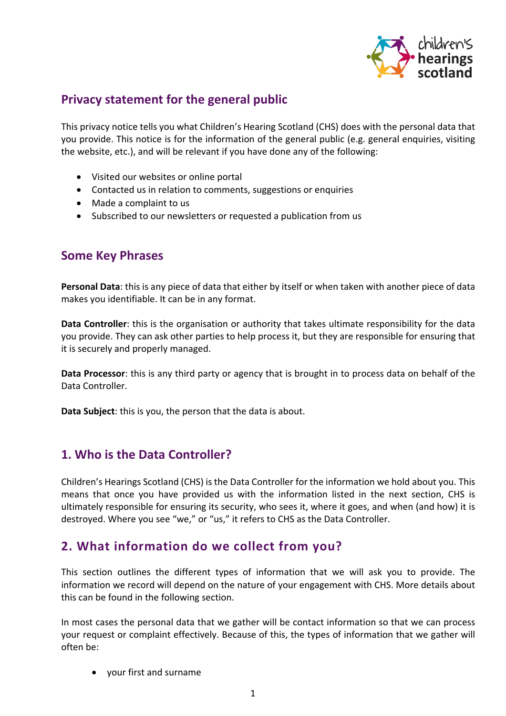

# **Privacy statement for the general public**

This privacy notice tells you what Children's Hearing Scotland (CHS) does with the personal data that you provide. This notice is for the information of the general public (e.g. general enquiries, visiting the website, etc.), and will be relevant if you have done any of the following:

- Visited our websites or online portal
- Contacted us in relation to comments, suggestions or enquiries
- Made a complaint to us
- Subscribed to our newsletters or requested a publication from us

### **Some Key Phrases**

**Personal Data**: this is any piece of data that either by itself or when taken with another piece of data makes you identifiable. It can be in any format.

**Data Controller**: this is the organisation or authority that takes ultimate responsibility for the data you provide. They can ask other parties to help process it, but they are responsible for ensuring that it is securely and properly managed.

**Data Processor**: this is any third party or agency that is brought in to process data on behalf of the Data Controller.

**Data Subject**: this is you, the person that the data is about.

## **1. Who is the Data Controller?**

Children's Hearings Scotland (CHS) is the Data Controller for the information we hold about you. This means that once you have provided us with the information listed in the next section, CHS is ultimately responsible for ensuring its security, who sees it, where it goes, and when (and how) it is destroyed. Where you see "we," or "us," it refers to CHS as the Data Controller.

# **2. What information do we collect from you?**

This section outlines the different types of information that we will ask you to provide. The information we record will depend on the nature of your engagement with CHS. More details about this can be found in the following section.

In most cases the personal data that we gather will be contact information so that we can process your request or complaint effectively. Because of this, the types of information that we gather will often be:

• your first and surname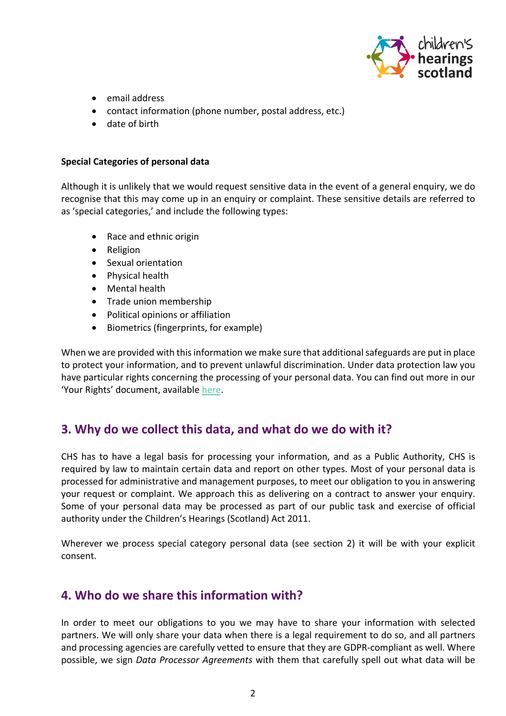

- email address
- contact information (phone number, postal address, etc.)
- date of birth

#### **Special Categories of personal data**

Although it is unlikely that we would request sensitive data in the event of a general enquiry, we do recognise that this may come up in an enquiry or complaint. These sensitive details are referred to as 'special categories,' and include the following types:

- Race and ethnic origin
- Religion
- Sexual orientation
- Physical health
- Mental health
- Trade union membership
- Political opinions or affiliation
- Biometrics (fingerprints, for example)

When we are provided with this information we make sure that additional safeguards are put in place to protect your information, and to prevent unlawful discrimination. Under data protection law you have particular rights concerning the processing of your personal data. You can find out more in our 'Your Rights' document, available [here.](https://www.chscotland.gov.uk/privacy-information/)

### **3. Why do we collect this data, and what do we do with it?**

CHS has to have a legal basis for processing your information, and as a Public Authority, CHS is required by law to maintain certain data and report on other types. Most of your personal data is processed for administrative and management purposes, to meet our obligation to you in answering your request or complaint. We approach this as delivering on a contract to answer your enquiry. Some of your personal data may be processed as part of our public task and exercise of official authority under the Children's Hearings (Scotland) Act 2011.

Wherever we process special category personal data (see section 2) it will be with your explicit consent.

### **4. Who do we share this information with?**

In order to meet our obligations to you we may have to share your information with selected partners. We will only share your data when there is a legal requirement to do so, and all partners and processing agencies are carefully vetted to ensure that they are GDPR-compliant as well. Where possible, we sign *Data Processor Agreements* with them that carefully spell out what data will be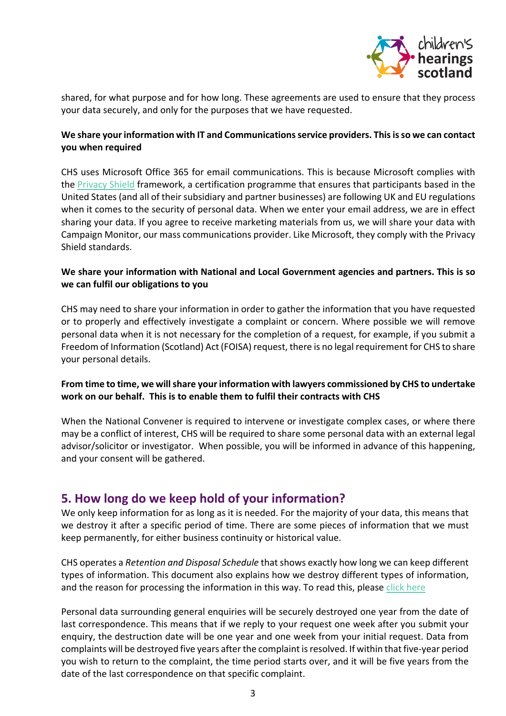

shared, for what purpose and for how long. These agreements are used to ensure that they process your data securely, and only for the purposes that we have requested.

### **We share your information with IT and Communications service providers. This is so we can contact you when required**

CHS uses Microsoft Office 365 for email communications. This is because Microsoft complies with the [Privacy Shield](https://www.privacyshield.gov/welcome) framework, a certification programme that ensures that participants based in the United States (and all of their subsidiary and partner businesses) are following UK and EU regulations when it comes to the security of personal data. When we enter your email address, we are in effect sharing your data. If you agree to receive marketing materials from us, we will share your data with Campaign Monitor, our mass communications provider. Like Microsoft, they comply with the Privacy Shield standards.

### **We share your information with National and Local Government agencies and partners. This is so we can fulfil our obligations to you**

CHS may need to share your information in order to gather the information that you have requested or to properly and effectively investigate a complaint or concern. Where possible we will remove personal data when it is not necessary for the completion of a request, for example, if you submit a Freedom of Information (Scotland) Act (FOISA) request, there is no legal requirement for CHS to share your personal details.

### **From time to time, we will share your information with lawyers commissioned by CHS to undertake work on our behalf. This is to enable them to fulfil their contracts with CHS**

When the National Convener is required to intervene or investigate complex cases, or where there may be a conflict of interest, CHS will be required to share some personal data with an external legal advisor/solicitor or investigator. When possible, you will be informed in advance of this happening, and your consent will be gathered.

## **5. How long do we keep hold of your information?**

We only keep information for as long as it is needed. For the majority of your data, this means that we destroy it after a specific period of time. There are some pieces of information that we must keep permanently, for either business continuity or historical value.

CHS operates a *Retention and Disposal Schedule* that shows exactly how long we can keep different types of information. This document also explains how we destroy different types of information, and the reason for processing the information in this way. To read this, please [click here](https://www.chscotland.gov.uk/media/2xhfwf3q/chs-retention-and-disposal-schedule.pdf)

Personal data surrounding general enquiries will be securely destroyed one year from the date of last correspondence. This means that if we reply to your request one week after you submit your enquiry, the destruction date will be one year and one week from your initial request. Data from complaints will be destroyed five years after the complaint is resolved. If within that five-year period you wish to return to the complaint, the time period starts over, and it will be five years from the date of the last correspondence on that specific complaint.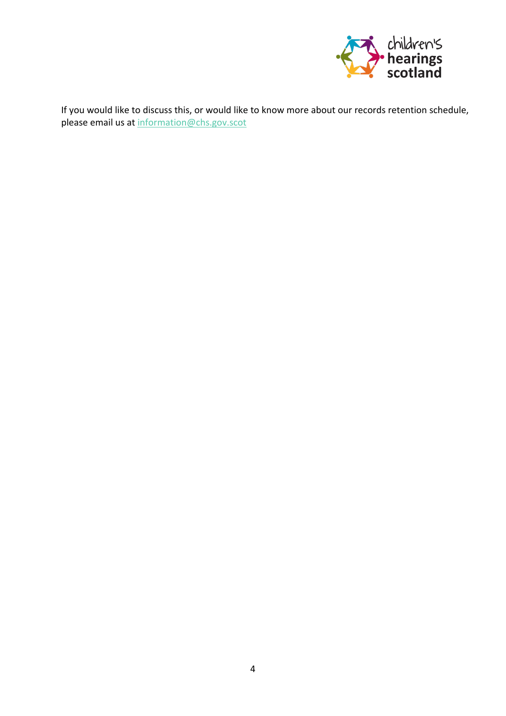

If you would like to discuss this, or would like to know more about our records retention schedule, please email us at [information@chs.gov.scot](mailto:information@chs.gov.scot)